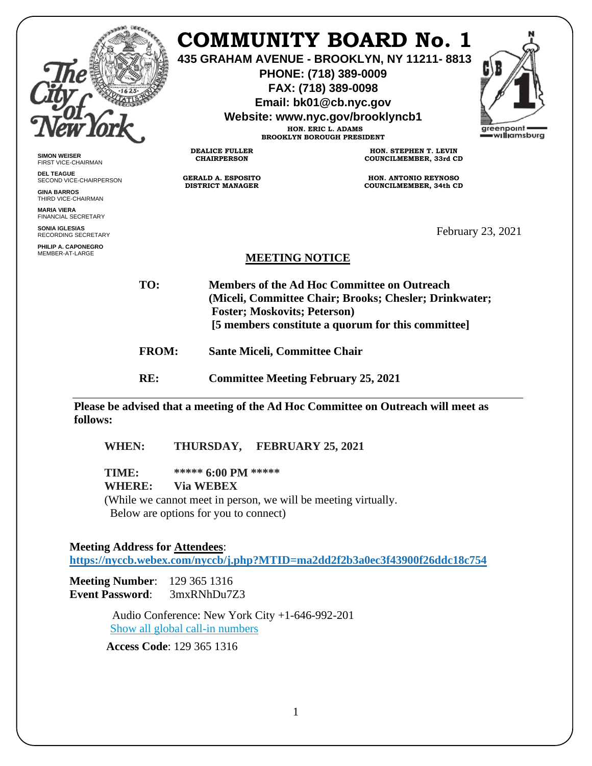|                                                  |                                                      | <b>COMMUNITY BOARD No. 1</b><br>435 GRAHAM AVENUE - BROOKLYN, NY 11211-8813<br>PHONE: (718) 389-0009<br>FAX: (718) 389-0098<br>Email: bk01@cb.nyc.gov<br>Website: www.nyc.gov/brooklyncb1<br>HON. ERIC L. ADAMS<br><b>BROOKLYN BOROUGH PRESIDENT</b> | greenpoint<br>williamsburg |
|--------------------------------------------------|------------------------------------------------------|------------------------------------------------------------------------------------------------------------------------------------------------------------------------------------------------------------------------------------------------------|----------------------------|
| <b>SIMON WEISER</b><br>FIRST VICE-CHAIRMAN       | <b>DEALICE FULLER</b><br><b>CHAIRPERSON</b>          | HON. STEPHEN T. LEVIN<br>COUNCILMEMBER, 33rd CD                                                                                                                                                                                                      |                            |
| <b>DEL TEAGUE</b><br>SECOND VICE-CHAIRPERSON     | <b>GERALD A. ESPOSITO</b><br><b>DISTRICT MANAGER</b> | HON. ANTONIO REYNOSO                                                                                                                                                                                                                                 |                            |
| <b>GINA BARROS</b><br>THIRD VICE-CHAIRMAN        |                                                      | <b>COUNCILMEMBER, 34th CD</b>                                                                                                                                                                                                                        |                            |
| <b>MARIA VIERA</b><br><b>FINANCIAL SECRETARY</b> |                                                      |                                                                                                                                                                                                                                                      |                            |
| <b>SONIA IGLESIAS</b><br>RECORDING SECRETARY     |                                                      |                                                                                                                                                                                                                                                      | February 23, 2021          |
| PHILIP A. CAPONEGRO<br>MEMBER-AT-LARGE           | <b>MEETING NOTICE</b>                                |                                                                                                                                                                                                                                                      |                            |
| TO:                                              | <b>Foster; Moskovits; Peterson)</b>                  | <b>Members of the Ad Hoc Committee on Outreach</b><br>(Miceli, Committee Chair; Brooks; Chesler; Drinkwater;<br>[5 members constitute a quorum for this committee]                                                                                   |                            |

**FROM: Sante Miceli, Committee Chair**

**RE: Committee Meeting February 25, 2021**

**Please be advised that a meeting of the Ad Hoc Committee on Outreach will meet as follows:**

**WHEN: THURSDAY, FEBRUARY 25, 2021**

**TIME: \*\*\*\*\* 6:00 PM \*\*\*\*\***

**WHERE: Via WEBEX**

(While we cannot meet in person, we will be meeting virtually. Below are options for you to connect)

#### **Meeting Address for Attendees**:

**<https://nyccb.webex.com/nyccb/j.php?MTID=ma2dd2f2b3a0ec3f43900f26ddc18c754>**

**Meeting Number**: 129 365 1316 **Event Password**: 3mxRNhDu7Z3

> Audio Conference: New York City +1-646-992-201 [Show all global call-in numbers](https://nyccb.webex.com/cmp3300/webcomponents/widget/globalcallin/globalcallin.do?siteurl=nyccb&serviceType=EC&eventID=1101180212&tollFree=0)

**Access Code**: 129 365 1316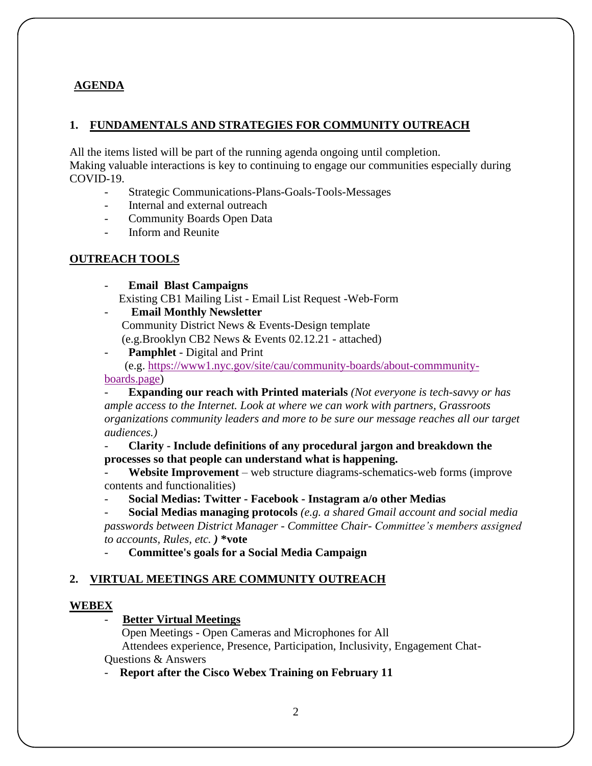## **AGENDA**

#### **1. FUNDAMENTALS AND STRATEGIES FOR COMMUNITY OUTREACH**

All the items listed will be part of the running agenda ongoing until completion. Making valuable interactions is key to continuing to engage our communities especially during COVID-19.

- Strategic Communications-Plans-Goals-Tools-Messages
- Internal and external outreach
- Community Boards Open Data
- Inform and Reunite

## **OUTREACH TOOLS**

- **Email Blast Campaigns**  Existing CB1 Mailing List - Email List Request -Web-Form
- **Email Monthly Newsletter** Community District News & Events-Design template (e.g.Brooklyn CB2 News & Events 02.12.21 - attached)
- **Pamphlet** Digital and Print

(e.g. [https://www1.nyc.gov/site/cau/community-boards/about-commmunity](https://gcc02.safelinks.protection.outlook.com/?url=https%3A%2F%2Fwww1.nyc.gov%2Fsite%2Fcau%2Fcommunity-boards%2Fabout-commmunity-&data=04%7C01%7Cmwallin%40cb.nyc.gov%7C10dfeb0bf760483fb7e208d8d832b123%7C32f56fc75f814e22a95b15da66513bef%7C0%7C0%7C637497059530443460%7CUnknown%7CTWFpbGZsb3d8eyJWIjoiMC4wLjAwMDAiLCJQIjoiV2luMzIiLCJBTiI6Ik1haWwiLCJXVCI6Mn0%3D%7C1000&sdata=8flZ20rtJN7KRqM6OYyiNQzGMKUJBZuOpYOJ7Kmg%2Bg0%3D&reserved=0)[boards.page\)](https://gcc02.safelinks.protection.outlook.com/?url=https%3A%2F%2Fwww1.nyc.gov%2Fsite%2Fcau%2Fcommunity-boards%2Fabout-commmunity-&data=04%7C01%7Cmwallin%40cb.nyc.gov%7C10dfeb0bf760483fb7e208d8d832b123%7C32f56fc75f814e22a95b15da66513bef%7C0%7C0%7C637497059530443460%7CUnknown%7CTWFpbGZsb3d8eyJWIjoiMC4wLjAwMDAiLCJQIjoiV2luMzIiLCJBTiI6Ik1haWwiLCJXVCI6Mn0%3D%7C1000&sdata=8flZ20rtJN7KRqM6OYyiNQzGMKUJBZuOpYOJ7Kmg%2Bg0%3D&reserved=0)

- **Expanding our reach with Printed materials** *(Not everyone is tech-savvy or has ample access to the Internet. Look at where we can work with partners, Grassroots organizations community leaders and more to be sure our message reaches all our target audiences.)*

- **Clarity - Include definitions of any procedural jargon and breakdown the processes so that people can understand what is happening.**

- **Website Improvement** – web structure diagrams-schematics-web forms (improve contents and functionalities)

- **Social Medias: Twitter - Facebook - Instagram a/o other Medias**

- **Social Medias managing protocols** *(e.g. a shared Gmail account and social media passwords between District Manager - Committee Chair- Committee's members assigned to accounts, Rules, etc. )* **\*vote**

- **Committee's goals for a Social Media Campaign**

# **2. VIRTUAL MEETINGS ARE COMMUNITY OUTREACH**

## **WEBEX**

## - **Better Virtual Meetings**

Open Meetings - Open Cameras and Microphones for All Attendees experience, Presence, Participation, Inclusivity, Engagement Chat-Questions & Answers

- **Report after the Cisco Webex Training on February 11**